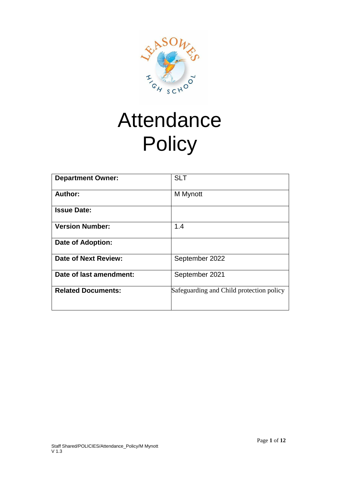

# Attendance **Policy**

| <b>Department Owner:</b>  | <b>SLT</b>                               |
|---------------------------|------------------------------------------|
| Author:                   | M Mynott                                 |
| <b>Issue Date:</b>        |                                          |
| <b>Version Number:</b>    | 1.4                                      |
| <b>Date of Adoption:</b>  |                                          |
| Date of Next Review:      | September 2022                           |
| Date of last amendment:   | September 2021                           |
| <b>Related Documents:</b> | Safeguarding and Child protection policy |
|                           |                                          |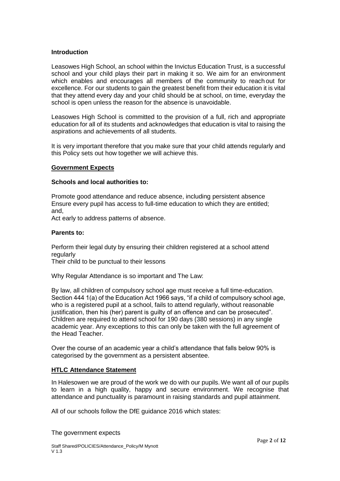## **Introduction**

Leasowes High School, an school within the Invictus Education Trust, is a successful school and your child plays their part in making it so. We aim for an environment which enables and encourages all members of the community to reach out for excellence. For our students to gain the greatest benefit from their education it is vital that they attend every day and your child should be at school, on time, everyday the school is open unless the reason for the absence is unavoidable.

Leasowes High School is committed to the provision of a full, rich and appropriate education for all of its students and acknowledges that education is vital to raising the aspirations and achievements of all students.

It is very important therefore that you make sure that your child attends regularly and this Policy sets out how together we will achieve this.

#### **Government Expects**

#### **Schools and local authorities to:**

Promote good attendance and reduce absence, including persistent absence Ensure every pupil has access to full-time education to which they are entitled; and,

Act early to address patterns of absence.

#### **Parents to:**

Perform their legal duty by ensuring their children registered at a school attend regularly

Their child to be punctual to their lessons

Why Regular Attendance is so important and The Law:

By law, all children of compulsory school age must receive a full time-education. Section 444 1(a) of the Education Act 1966 says, "if a child of compulsory school age, who is a registered pupil at a school, fails to attend regularly, without reasonable justification, then his (her) parent is guilty of an offence and can be prosecuted". Children are required to attend school for 190 days (380 sessions) in any single academic year. Any exceptions to this can only be taken with the full agreement of the Head Teacher.

Over the course of an academic year a child's attendance that falls below 90% is categorised by the government as a persistent absentee.

## **HTLC Attendance Statement**

In Halesowen we are proud of the work we do with our pupils. We want all of our pupils to learn in a high quality, happy and secure environment. We recognise that attendance and punctuality is paramount in raising standards and pupil attainment.

All of our schools follow the DfE guidance 2016 which states:

The government expects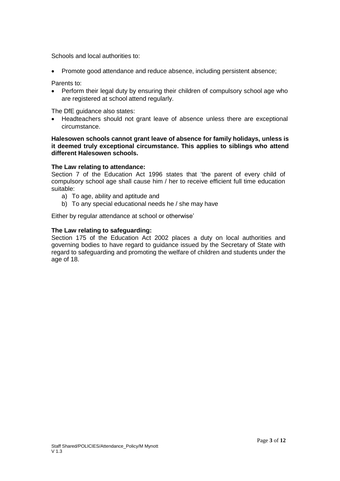Schools and local authorities to:

• Promote good attendance and reduce absence, including persistent absence;

Parents to:

• Perform their legal duty by ensuring their children of compulsory school age who are registered at school attend regularly.

The DfE guidance also states:

• Headteachers should not grant leave of absence unless there are exceptional circumstance.

#### **Halesowen schools cannot grant leave of absence for family holidays, unless is it deemed truly exceptional circumstance. This applies to siblings who attend different Halesowen schools.**

#### **The Law relating to attendance:**

Section 7 of the Education Act 1996 states that 'the parent of every child of compulsory school age shall cause him / her to receive efficient full time education suitable:

- a) To age, ability and aptitude and
- b) To any special educational needs he / she may have

Either by regular attendance at school or otherwise'

#### **The Law relating to safeguarding:**

Section 175 of the Education Act 2002 places a duty on local authorities and governing bodies to have regard to guidance issued by the Secretary of State with regard to safeguarding and promoting the welfare of children and students under the age of 18.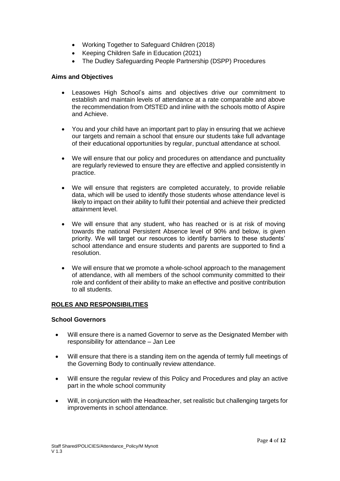- Working Together to Safeguard Children (2018)
- Keeping Children Safe in Education (2021)
- The Dudley Safeguarding People Partnership (DSPP) Procedures

#### **Aims and Objectives**

- Leasowes High School's aims and objectives drive our commitment to establish and maintain levels of attendance at a rate comparable and above the recommendation from OfSTED and inline with the schools motto of Aspire and Achieve.
- You and your child have an important part to play in ensuring that we achieve our targets and remain a school that ensure our students take full advantage of their educational opportunities by regular, punctual attendance at school.
- We will ensure that our policy and procedures on attendance and punctuality are regularly reviewed to ensure they are effective and applied consistently in practice.
- We will ensure that registers are completed accurately, to provide reliable data, which will be used to identify those students whose attendance level is likely to impact on their ability to fulfil their potential and achieve their predicted attainment level.
- We will ensure that any student, who has reached or is at risk of moving towards the national Persistent Absence level of 90% and below, is given priority. We will target our resources to identify barriers to these students' school attendance and ensure students and parents are supported to find a resolution.
- We will ensure that we promote a whole-school approach to the management of attendance, with all members of the school community committed to their role and confident of their ability to make an effective and positive contribution to all students.

## **ROLES AND RESPONSIBILITIES**

#### **School Governors**

- Will ensure there is a named Governor to serve as the Designated Member with responsibility for attendance – Jan Lee
- Will ensure that there is a standing item on the agenda of termly full meetings of the Governing Body to continually review attendance.
- Will ensure the regular review of this Policy and Procedures and play an active part in the whole school community
- Will, in conjunction with the Headteacher, set realistic but challenging targets for improvements in school attendance.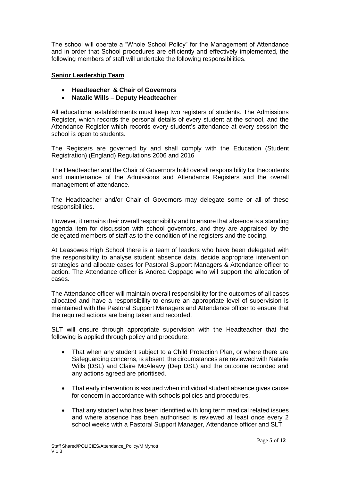The school will operate a "Whole School Policy" for the Management of Attendance and in order that School procedures are efficiently and effectively implemented, the following members of staff will undertake the following responsibilities.

## **Senior Leadership Team**

- **Headteacher & Chair of Governors**
- **Natalie Wills – Deputy Headteacher**

All educational establishments must keep two registers of students. The Admissions Register, which records the personal details of every student at the school, and the Attendance Register which records every student's attendance at every session the school is open to students.

The Registers are governed by and shall comply with the Education (Student Registration) (England) Regulations 2006 and 2016

The Headteacher and the Chair of Governors hold overall responsibility for thecontents and maintenance of the Admissions and Attendance Registers and the overall management of attendance.

The Headteacher and/or Chair of Governors may delegate some or all of these responsibilities.

However, it remains their overall responsibility and to ensure that absence is a standing agenda item for discussion with school governors, and they are appraised by the delegated members of staff as to the condition of the registers and the coding.

At Leasowes High School there is a team of leaders who have been delegated with the responsibility to analyse student absence data, decide appropriate intervention strategies and allocate cases for Pastoral Support Managers & Attendance officer to action. The Attendance officer is Andrea Coppage who will support the allocation of cases.

The Attendance officer will maintain overall responsibility for the outcomes of all cases allocated and have a responsibility to ensure an appropriate level of supervision is maintained with the Pastoral Support Managers and Attendance officer to ensure that the required actions are being taken and recorded.

SLT will ensure through appropriate supervision with the Headteacher that the following is applied through policy and procedure:

- That when any student subject to a Child Protection Plan, or where there are Safeguarding concerns, is absent, the circumstances are reviewed with Natalie Wills (DSL) and Claire McAleavy (Dep DSL) and the outcome recorded and any actions agreed are prioritised.
- That early intervention is assured when individual student absence gives cause for concern in accordance with schools policies and procedures.
- That any student who has been identified with long term medical related issues and where absence has been authorised is reviewed at least once every 2 school weeks with a Pastoral Support Manager, Attendance officer and SLT.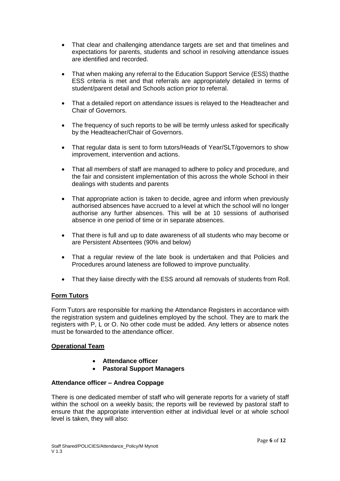- That clear and challenging attendance targets are set and that timelines and expectations for parents, students and school in resolving attendance issues are identified and recorded.
- That when making any referral to the Education Support Service (ESS) thatthe ESS criteria is met and that referrals are appropriately detailed in terms of student/parent detail and Schools action prior to referral.
- That a detailed report on attendance issues is relayed to the Headteacher and Chair of Governors.
- The frequency of such reports to be will be termly unless asked for specifically by the Headteacher/Chair of Governors.
- That regular data is sent to form tutors/Heads of Year/SLT/governors to show improvement, intervention and actions.
- That all members of staff are managed to adhere to policy and procedure, and the fair and consistent implementation of this across the whole School in their dealings with students and parents
- That appropriate action is taken to decide, agree and inform when previously authorised absences have accrued to a level at which the school will no longer authorise any further absences. This will be at 10 sessions of authorised absence in one period of time or in separate absences.
- That there is full and up to date awareness of all students who may become or are Persistent Absentees (90% and below)
- That a regular review of the late book is undertaken and that Policies and Procedures around lateness are followed to improve punctuality.
- That they liaise directly with the ESS around all removals of students from Roll.

## **Form Tutors**

Form Tutors are responsible for marking the Attendance Registers in accordance with the registration system and guidelines employed by the school. They are to mark the registers with P, L or O. No other code must be added. Any letters or absence notes must be forwarded to the attendance officer.

## **Operational Team**

- **Attendance officer**
- **Pastoral Support Managers**

## **Attendance officer – Andrea Coppage**

There is one dedicated member of staff who will generate reports for a variety of staff within the school on a weekly basis; the reports will be reviewed by pastoral staff to ensure that the appropriate intervention either at individual level or at whole school level is taken, they will also: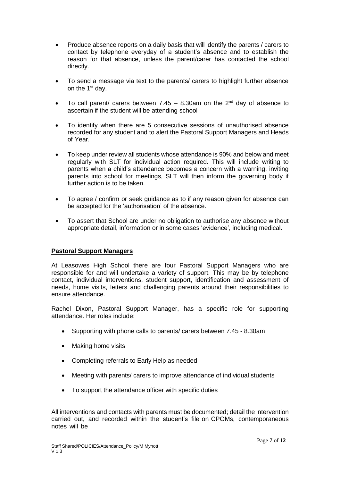- Produce absence reports on a daily basis that will identify the parents / carers to contact by telephone everyday of a student's absence and to establish the reason for that absence, unless the parent/carer has contacted the school directly.
- To send a message via text to the parents/ carers to highlight further absence on the 1<sup>st</sup> day.
- To call parent/ carers between 7.45 8.30am on the  $2^{nd}$  day of absence to ascertain if the student will be attending school
- To identify when there are 5 consecutive sessions of unauthorised absence recorded for any student and to alert the Pastoral Support Managers and Heads of Year.
- To keep under review all students whose attendance is 90% and below and meet regularly with SLT for individual action required. This will include writing to parents when a child's attendance becomes a concern with a warning, inviting parents into school for meetings, SLT will then inform the governing body if further action is to be taken.
- To agree / confirm or seek guidance as to if any reason given for absence can be accepted for the 'authorisation' of the absence.
- To assert that School are under no obligation to authorise any absence without appropriate detail, information or in some cases 'evidence', including medical.

## **Pastoral Support Managers**

At Leasowes High School there are four Pastoral Support Managers who are responsible for and will undertake a variety of support. This may be by telephone contact, individual interventions, student support, identification and assessment of needs, home visits, letters and challenging parents around their responsibilities to ensure attendance.

Rachel Dixon, Pastoral Support Manager, has a specific role for supporting attendance. Her roles include:

- Supporting with phone calls to parents/ carers between 7.45 8.30am
- Making home visits
- Completing referrals to Early Help as needed
- Meeting with parents/ carers to improve attendance of individual students
- To support the attendance officer with specific duties

All interventions and contacts with parents must be documented; detail the intervention carried out, and recorded within the student's file on CPOMs, contemporaneous notes will be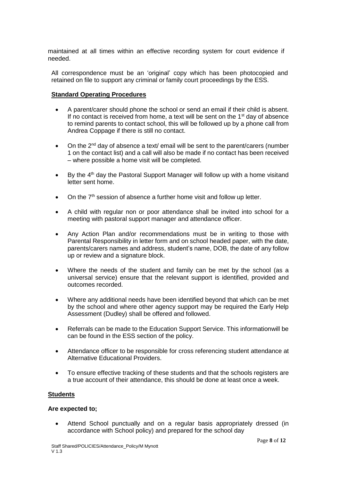maintained at all times within an effective recording system for court evidence if needed.

All correspondence must be an 'original' copy which has been photocopied and retained on file to support any criminal or family court proceedings by the ESS.

# **Standard Operating Procedures**

- A parent/carer should phone the school or send an email if their child is absent. If no contact is received from home, a text will be sent on the  $1<sup>st</sup>$  day of absence to remind parents to contact school, this will be followed up by a phone call from Andrea Coppage if there is still no contact.
- On the 2<sup>nd</sup> day of absence a text/ email will be sent to the parent/carers (number 1 on the contact list) and a call will also be made if no contact has been received – where possible a home visit will be completed.
- By the 4<sup>th</sup> day the Pastoral Support Manager will follow up with a home visitand letter sent home.
- On the  $7<sup>th</sup>$  session of absence a further home visit and follow up letter.
- A child with regular non or poor attendance shall be invited into school for a meeting with pastoral support manager and attendance officer.
- Any Action Plan and/or recommendations must be in writing to those with Parental Responsibility in letter form and on school headed paper, with the date, parents/carers names and address, student's name, DOB, the date of any follow up or review and a signature block.
- Where the needs of the student and family can be met by the school (as a universal service) ensure that the relevant support is identified, provided and outcomes recorded.
- Where any additional needs have been identified beyond that which can be met by the school and where other agency support may be required the Early Help Assessment (Dudley) shall be offered and followed.
- Referrals can be made to the Education Support Service. This informationwill be can be found in the ESS section of the policy.
- Attendance officer to be responsible for cross referencing student attendance at Alternative Educational Providers.
- To ensure effective tracking of these students and that the schools registers are a true account of their attendance, this should be done at least once a week.

## **Students**

## **Are expected to;**

• Attend School punctually and on a regular basis appropriately dressed (in accordance with School policy) and prepared for the school day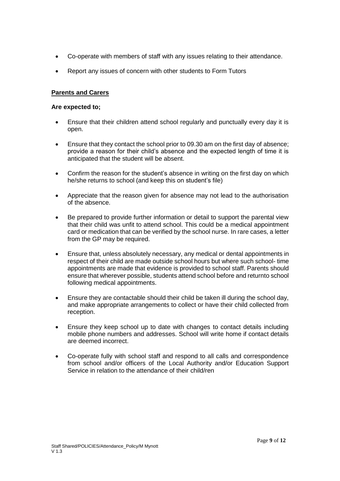- Co-operate with members of staff with any issues relating to their attendance.
- Report any issues of concern with other students to Form Tutors

# **Parents and Carers**

#### **Are expected to;**

- Ensure that their children attend school regularly and punctually every day it is open.
- Ensure that they contact the school prior to 09.30 am on the first day of absence; provide a reason for their child's absence and the expected length of time it is anticipated that the student will be absent.
- Confirm the reason for the student's absence in writing on the first day on which he/she returns to school (and keep this on student's file)
- Appreciate that the reason given for absence may not lead to the authorisation of the absence.
- Be prepared to provide further information or detail to support the parental view that their child was unfit to attend school. This could be a medical appointment card or medication that can be verified by the school nurse. In rare cases, a letter from the GP may be required.
- Ensure that, unless absolutely necessary, any medical or dental appointments in respect of their child are made outside school hours but where such school- time appointments are made that evidence is provided to school staff. Parents should ensure that wherever possible, students attend school before and returnto school following medical appointments.
- Ensure they are contactable should their child be taken ill during the school day, and make appropriate arrangements to collect or have their child collected from reception.
- Ensure they keep school up to date with changes to contact details including mobile phone numbers and addresses. School will write home if contact details are deemed incorrect.
- Co-operate fully with school staff and respond to all calls and correspondence from school and/or officers of the Local Authority and/or Education Support Service in relation to the attendance of their child/ren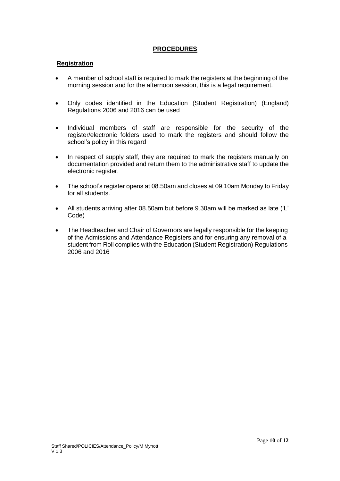# **PROCEDURES**

## **Registration**

- A member of school staff is required to mark the registers at the beginning of the morning session and for the afternoon session, this is a legal requirement.
- Only codes identified in the Education (Student Registration) (England) Regulations 2006 and 2016 can be used
- Individual members of staff are responsible for the security of the register/electronic folders used to mark the registers and should follow the school's policy in this regard
- In respect of supply staff, they are required to mark the registers manually on documentation provided and return them to the administrative staff to update the electronic register.
- The school's register opens at 08.50am and closes at 09.10am Monday to Friday for all students.
- All students arriving after 08.50am but before 9.30am will be marked as late ('L' Code)
- The Headteacher and Chair of Governors are legally responsible for the keeping of the Admissions and Attendance Registers and for ensuring any removal of a student from Roll complies with the Education (Student Registration) Regulations 2006 and 2016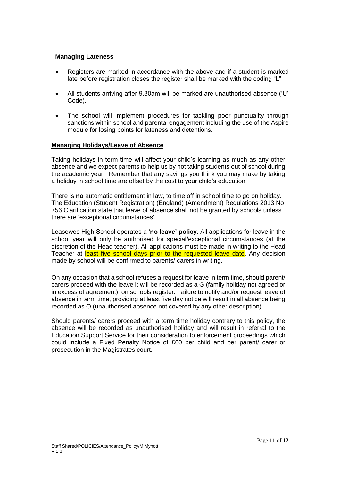## **Managing Lateness**

- Registers are marked in accordance with the above and if a student is marked late before registration closes the register shall be marked with the coding "L".
- All students arriving after 9.30am will be marked are unauthorised absence ('U' Code).
- The school will implement procedures for tackling poor punctuality through sanctions within school and parental engagement including the use of the Aspire module for losing points for lateness and detentions.

## **Managing Holidays/Leave of Absence**

Taking holidays in term time will affect your child's learning as much as any other absence and we expect parents to help us by not taking students out of school during the academic year. Remember that any savings you think you may make by taking a holiday in school time are offset by the cost to your child's education.

There is **no** automatic entitlement in law, to time off in school time to go on holiday. The Education (Student Registration) (England) (Amendment) Regulations 2013 No 756 Clarification state that leave of absence shall not be granted by schools unless there are 'exceptional circumstances'.

Leasowes High School operates a '**no leave' policy**. All applications for leave in the school year will only be authorised for special/exceptional circumstances (at the discretion of the Head teacher). All applications must be made in writing to the Head Teacher at least five school days prior to the requested leave date. Any decision made by school will be confirmed to parents/ carers in writing.

On any occasion that a school refuses a request for leave in term time, should parent/ carers proceed with the leave it will be recorded as a G (family holiday not agreed or in excess of agreement), on schools register. Failure to notify and/or request leave of absence in term time, providing at least five day notice will result in all absence being recorded as O (unauthorised absence not covered by any other description).

Should parents/ carers proceed with a term time holiday contrary to this policy, the absence will be recorded as unauthorised holiday and will result in referral to the Education Support Service for their consideration to enforcement proceedings which could include a Fixed Penalty Notice of £60 per child and per parent/ carer or prosecution in the Magistrates court.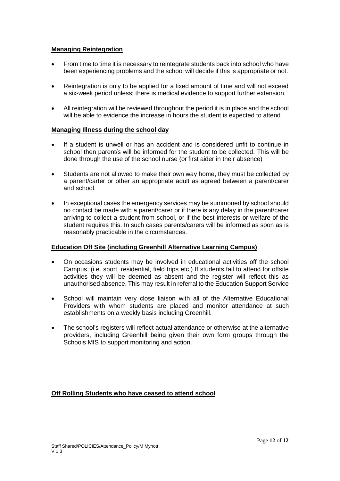# **Managing Reintegration**

- From time to time it is necessary to reintegrate students back into school who have been experiencing problems and the school will decide if this is appropriate or not.
- Reintegration is only to be applied for a fixed amount of time and will not exceed a six-week period unless; there is medical evidence to support further extension.
- All reintegration will be reviewed throughout the period it is in place and the school will be able to evidence the increase in hours the student is expected to attend

## **Managing Illness during the school day**

- If a student is unwell or has an accident and is considered unfit to continue in school then parent/s will be informed for the student to be collected. This will be done through the use of the school nurse (or first aider in their absence)
- Students are not allowed to make their own way home, they must be collected by a parent/carter or other an appropriate adult as agreed between a parent/carer and school.
- In exceptional cases the emergency services may be summoned by school should no contact be made with a parent/carer or if there is any delay in the parent/carer arriving to collect a student from school, or if the best interests or welfare of the student requires this. In such cases parents/carers will be informed as soon as is reasonably practicable in the circumstances.

## **Education Off Site (including Greenhill Alternative Learning Campus)**

- On occasions students may be involved in educational activities off the school Campus, (i.e. sport, residential, field trips etc.) If students fail to attend for offsite activities they will be deemed as absent and the register will reflect this as unauthorised absence. This may result in referral to the Education Support Service
- School will maintain very close liaison with all of the Alternative Educational Providers with whom students are placed and monitor attendance at such establishments on a weekly basis including Greenhill.
- The school's registers will reflect actual attendance or otherwise at the alternative providers, including Greenhill being given their own form groups through the Schools MIS to support monitoring and action.

## **Off Rolling Students who have ceased to attend school**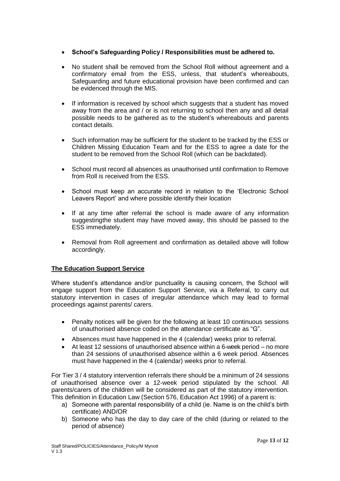# • **School's Safeguarding Policy / Responsibilities must be adhered to.**

- No student shall be removed from the School Roll without agreement and a confirmatory email from the ESS, unless, that student's whereabouts, Safeguarding and future educational provision have been confirmed and can be evidenced through the MIS.
- If information is received by school which suggests that a student has moved away from the area and / or is not returning to school then any and all detail possible needs to be gathered as to the student's whereabouts and parents contact details.
- Such information may be sufficient for the student to be tracked by the ESS or Children Missing Education Team and for the ESS to agree a date for the student to be removed from the School Roll (which can be backdated).
- School must record all absences as unauthorised until confirmation to Remove from Roll is received from the ESS.
- School must keep an accurate record in relation to the 'Electronic School Leavers Report' and where possible identify their location
- If at any time after referral the school is made aware of any information suggestingthe student may have moved away, this should be passed to the ESS immediately.
- Removal from Roll agreement and confirmation as detailed above will follow accordingly.

## **The Education Support Service**

Where student's attendance and/or punctuality is causing concern, the School will engage support from the Education Support Service, via a Referral, to carry out statutory intervention in cases of irregular attendance which may lead to formal proceedings against parents/ carers.

- Penalty notices will be given for the following at least 10 continuous sessions of unauthorised absence coded on the attendance certificate as "G".
- Absences must have happened in the 4 (calendar) weeks prior to referral.
- At least 12 sessions of unauthorised absence within a 6-week period no more than 24 sessions of unauthorised absence within a 6 week period. Absences must have happened in the 4 (calendar) weeks prior to referral.

For Tier 3 / 4 statutory intervention referrals there should be a minimum of 24 sessions of unauthorised absence over a 12-week period stipulated by the school. All parents/carers of the children will be considered as part of the statutory intervention. This definition in Education Law (Section 576, Education Act 1996) of a parent is:

- a) Someone with parental responsibility of a child (ie. Name is on the child's birth certificate) AND/OR
- b) Someone who has the day to day care of the child (during or related to the period of absence)